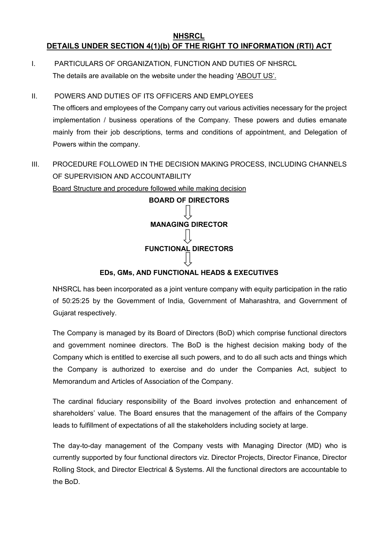#### **NHSRCL DETAILS UNDER SECTION 4(1)(b) OF THE RIGHT TO INFORMATION (RTI) ACT**

I. PARTICULARS OF ORGANIZATION, FUNCTION AND DUTIES OF NHSRCL The details are available on the website under the heading 'ABOUT US'.

#### II. POWERS AND DUTIES OF ITS OFFICERS AND EMPLOYEES

The officers and employees of the Company carry out various activities necessary for the project implementation / business operations of the Company. These powers and duties emanate mainly from their job descriptions, terms and conditions of appointment, and Delegation of Powers within the company.

III. PROCEDURE FOLLOWED IN THE DECISION MAKING PROCESS, INCLUDING CHANNELS OF SUPERVISION AND ACCOUNTABILITY

Board Structure and procedure followed while making decision



### **EDs, GMs, AND FUNCTIONAL HEADS & EXECUTIVES**

NHSRCL has been incorporated as a joint venture company with equity participation in the ratio of 50:25:25 by the Government of India, Government of Maharashtra, and Government of Gujarat respectively.

The Company is managed by its Board of Directors (BoD) which comprise functional directors and government nominee directors. The BoD is the highest decision making body of the Company which is entitled to exercise all such powers, and to do all such acts and things which the Company is authorized to exercise and do under the Companies Act, subject to Memorandum and Articles of Association of the Company.

The cardinal fiduciary responsibility of the Board involves protection and enhancement of shareholders' value. The Board ensures that the management of the affairs of the Company leads to fulfillment of expectations of all the stakeholders including society at large.

The day-to-day management of the Company vests with Managing Director (MD) who is currently supported by four functional directors viz. Director Projects, Director Finance, Director Rolling Stock, and Director Electrical & Systems. All the functional directors are accountable to the BoD.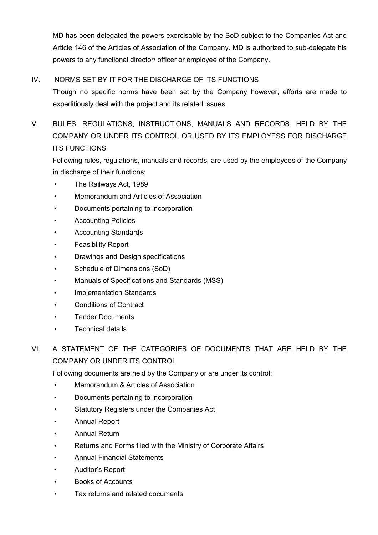MD has been delegated the powers exercisable by the BoD subject to the Companies Act and Article 146 of the Articles of Association of the Company. MD is authorized to sub-delegate his powers to any functional director/ officer or employee of the Company.

### IV. NORMS SET BY IT FOR THE DISCHARGE OF ITS FUNCTIONS

Though no specific norms have been set by the Company however, efforts are made to expeditiously deal with the project and its related issues.

# V. RULES, REGULATIONS, INSTRUCTIONS, MANUALS AND RECORDS, HELD BY THE COMPANY OR UNDER ITS CONTROL OR USED BY ITS EMPLOYESS FOR DISCHARGE ITS FUNCTIONS

Following rules, regulations, manuals and records, are used by the employees of the Company in discharge of their functions:

- The Railways Act, 1989
- Memorandum and Articles of Association
- Documents pertaining to incorporation
- Accounting Policies
- Accounting Standards
- Feasibility Report
- Drawings and Design specifications
- Schedule of Dimensions (SoD)
- Manuals of Specifications and Standards (MSS)
- Implementation Standards
- Conditions of Contract
- Tender Documents
- **Technical details**
- VI. A STATEMENT OF THE CATEGORIES OF DOCUMENTS THAT ARE HELD BY THE COMPANY OR UNDER ITS CONTROL

Following documents are held by the Company or are under its control:

- Memorandum & Articles of Association
- Documents pertaining to incorporation
- Statutory Registers under the Companies Act
- Annual Report
- Annual Return
- Returns and Forms filed with the Ministry of Corporate Affairs
- Annual Financial Statements
- Auditor's Report
- Books of Accounts
- Tax returns and related documents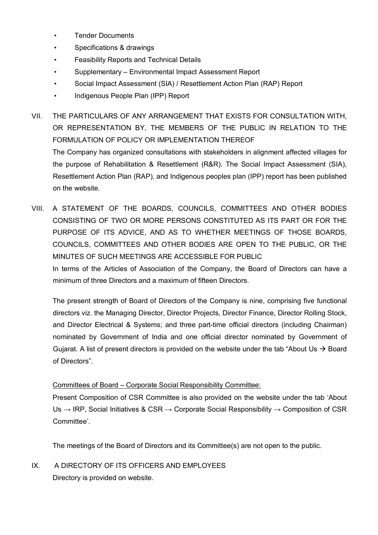- Tender Documents
- Specifications & drawings
- Feasibility Reports and Technical Details
- Supplementary Environmental Impact Assessment Report
- Social Impact Assessment (SIA) / Resettlement Action Plan (RAP) Report
- Indigenous People Plan (IPP) Report

VII. THE PARTICULARS OF ANY ARRANGEMENT THAT EXISTS FOR CONSULTATION WITH, OR REPRESENTATION BY, THE MEMBERS OF THE PUBLIC IN RELATION TO THE FORMULATION OF POLICY OR IMPLEMENTATION THEREOF

The Company has organized consultations with stakeholders in alignment affected villages for the purpose of Rehabilitation & Resettlement (R&R). The Social Impact Assessment (SIA), Resettlement Action Plan (RAP), and Indigenous peoples plan (IPP) report has been published on the website.

VIII. A STATEMENT OF THE BOARDS, COUNCILS, COMMITTEES AND OTHER BODIES CONSISTING OF TWO OR MORE PERSONS CONSTITUTED AS ITS PART OR FOR THE PURPOSE OF ITS ADVICE, AND AS TO WHETHER MEETINGS OF THOSE BOARDS, COUNCILS, COMMITTEES AND OTHER BODIES ARE OPEN TO THE PUBLIC, OR THE MINUTES OF SUCH MEETINGS ARE ACCESSIBLE FOR PUBLIC

In terms of the Articles of Association of the Company, the Board of Directors can have a minimum of three Directors and a maximum of fifteen Directors.

The present strength of Board of Directors of the Company is nine, comprising five functional directors viz. the Managing Director, Director Projects, Director Finance, Director Rolling Stock, and Director Electrical & Systems; and three part-time official directors (including Chairman) nominated by Government of India and one official director nominated by Government of Gujarat. A list of present directors is provided on the website under the tab "About Us  $\rightarrow$  Board of Directors".

#### Committees of Board – Corporate Social Responsibility Committee:

Present Composition of CSR Committee is also provided on the website under the tab 'About Us  $\rightarrow$  IRP, Social Initiatives & CSR  $\rightarrow$  Corporate Social Responsibility  $\rightarrow$  Composition of CSR Committee'.

The meetings of the Board of Directors and its Committee(s) are not open to the public.

IX. A DIRECTORY OF ITS OFFICERS AND EMPLOYEES Directory is provided on website.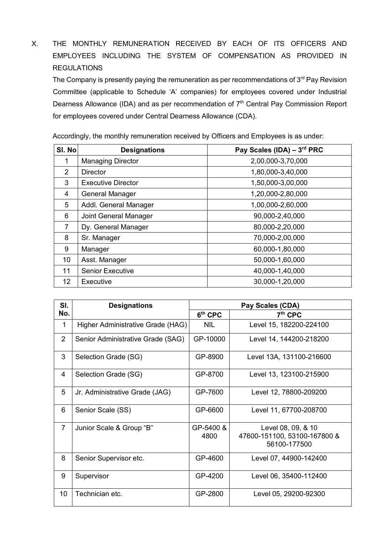X. THE MONTHLY REMUNERATION RECEIVED BY EACH OF ITS OFFICERS AND EMPLOYEES INCLUDING THE SYSTEM OF COMPENSATION AS PROVIDED IN **REGULATIONS** 

The Company is presently paying the remuneration as per recommendations of  $3<sup>rd</sup>$  Pay Revision Committee (applicable to Schedule 'A' companies) for employees covered under Industrial Dearness Allowance (IDA) and as per recommendation of 7<sup>th</sup> Central Pay Commission Report for employees covered under Central Dearness Allowance (CDA).

| SI. No         | <b>Designations</b>       | Pay Scales (IDA) - 3rd PRC |
|----------------|---------------------------|----------------------------|
| 1              | <b>Managing Director</b>  | 2,00,000-3,70,000          |
| 2              | Director                  | 1,80,000-3,40,000          |
| 3              | <b>Executive Director</b> | 1,50,000-3,00,000          |
| 4              | General Manager           | 1,20,000-2,80,000          |
| 5              | Addl. General Manager     | 1,00,000-2,60,000          |
| 6              | Joint General Manager     | 90,000-2,40,000            |
| $\overline{7}$ | Dy. General Manager       | 80,000-2,20,000            |
| 8              | Sr. Manager               | 70,000-2,00,000            |
| 9              | Manager                   | 60,000-1,80,000            |
| 10             | Asst. Manager             | 50,000-1,60,000            |
| 11             | <b>Senior Executive</b>   | 40,000-1,40,000            |
| 12             | Executive                 | 30,000-1,20,000            |

Accordingly, the monthly remuneration received by Officers and Employees is as under:

| SI.            | <b>Designations</b>               | Pay Scales (CDA)  |                                                                    |  |
|----------------|-----------------------------------|-------------------|--------------------------------------------------------------------|--|
| No.            |                                   | $6th$ CPC         | $7th$ CPC                                                          |  |
| $\mathbf{1}$   | Higher Administrative Grade (HAG) | <b>NIL</b>        | Level 15, 182200-224100                                            |  |
| $\overline{2}$ | Senior Administrative Grade (SAG) | GP-10000          | Level 14, 144200-218200                                            |  |
| 3              | Selection Grade (SG)              | GP-8900           | Level 13A, 131100-216600                                           |  |
| 4              | Selection Grade (SG)              | GP-8700           | Level 13, 123100-215900                                            |  |
| 5              | Jr. Administrative Grade (JAG)    | GP-7600           | Level 12, 78800-209200                                             |  |
| 6              | Senior Scale (SS)                 | GP-6600           | Level 11, 67700-208700                                             |  |
| $\overline{7}$ | Junior Scale & Group "B"          | GP-5400 &<br>4800 | Level 08, 09, & 10<br>47600-151100, 53100-167800 &<br>56100-177500 |  |
| 8              | Senior Supervisor etc.            | GP-4600           | Level 07, 44900-142400                                             |  |
| 9              | Supervisor                        | GP-4200           | Level 06, 35400-112400                                             |  |
| 10             | Technician etc.                   | GP-2800           | Level 05, 29200-92300                                              |  |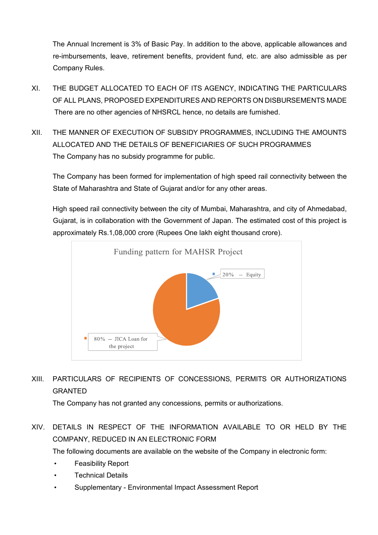The Annual Increment is 3% of Basic Pay. In addition to the above, applicable allowances and re-imbursements, leave, retirement benefits, provident fund, etc. are also admissible as per Company Rules.

- XI. THE BUDGET ALLOCATED TO EACH OF ITS AGENCY, INDICATING THE PARTICULARS OF ALL PLANS, PROPOSED EXPENDITURES AND REPORTS ON DISBURSEMENTS MADE There are no other agencies of NHSRCL hence, no details are furnished.
- XII. THE MANNER OF EXECUTION OF SUBSIDY PROGRAMMES, INCLUDING THE AMOUNTS ALLOCATED AND THE DETAILS OF BENEFICIARIES OF SUCH PROGRAMMES The Company has no subsidy programme for public.

The Company has been formed for implementation of high speed rail connectivity between the State of Maharashtra and State of Gujarat and/or for any other areas.

High speed rail connectivity between the city of Mumbai, Maharashtra, and city of Ahmedabad, Gujarat, is in collaboration with the Government of Japan. The estimated cost of this project is approximately Rs.1,08,000 crore (Rupees One lakh eight thousand crore).



# XIII. PARTICULARS OF RECIPIENTS OF CONCESSIONS, PERMITS OR AUTHORIZATIONS GRANTED

The Company has not granted any concessions, permits or authorizations.

## XIV. DETAILS IN RESPECT OF THE INFORMATION AVAILABLE TO OR HELD BY THE COMPANY, REDUCED IN AN ELECTRONIC FORM

The following documents are available on the website of the Company in electronic form:

- Feasibility Report
- **Technical Details**
- Supplementary Environmental Impact Assessment Report